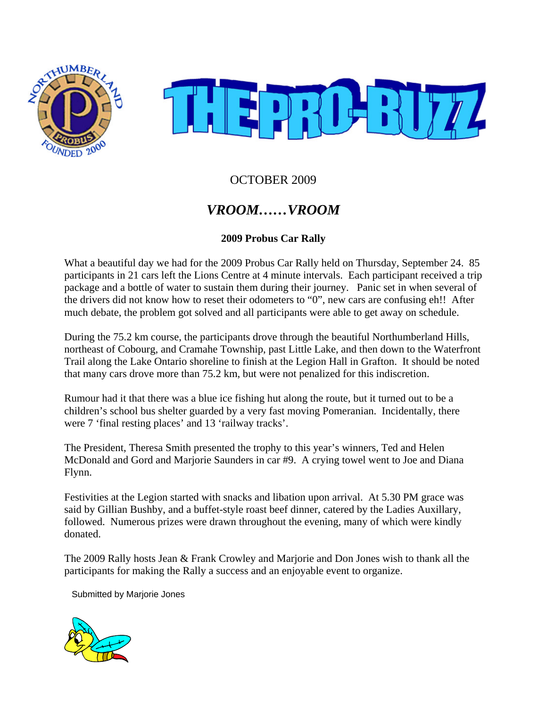



# OCTOBER 2009

# *VROOM……VROOM*

# **2009 Probus Car Rally**

What a beautiful day we had for the 2009 Probus Car Rally held on Thursday, September 24. 85 participants in 21 cars left the Lions Centre at 4 minute intervals. Each participant received a trip package and a bottle of water to sustain them during their journey. Panic set in when several of the drivers did not know how to reset their odometers to "0", new cars are confusing eh!! After much debate, the problem got solved and all participants were able to get away on schedule.

During the 75.2 km course, the participants drove through the beautiful Northumberland Hills, northeast of Cobourg, and Cramahe Township, past Little Lake, and then down to the Waterfront Trail along the Lake Ontario shoreline to finish at the Legion Hall in Grafton. It should be noted that many cars drove more than 75.2 km, but were not penalized for this indiscretion.

Rumour had it that there was a blue ice fishing hut along the route, but it turned out to be a children's school bus shelter guarded by a very fast moving Pomeranian. Incidentally, there were 7 'final resting places' and 13 'railway tracks'.

The President, Theresa Smith presented the trophy to this year's winners, Ted and Helen McDonald and Gord and Marjorie Saunders in car #9. A crying towel went to Joe and Diana Flynn.

Festivities at the Legion started with snacks and libation upon arrival. At 5.30 PM grace was said by Gillian Bushby, and a buffet-style roast beef dinner, catered by the Ladies Auxillary, followed. Numerous prizes were drawn throughout the evening, many of which were kindly donated.

The 2009 Rally hosts Jean & Frank Crowley and Marjorie and Don Jones wish to thank all the participants for making the Rally a success and an enjoyable event to organize.

Submitted by Marjorie Jones

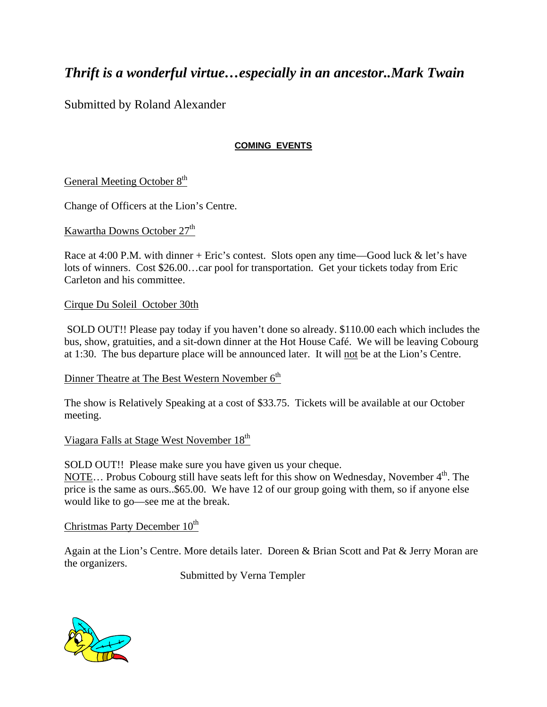# *Thrift is a wonderful virtue…especially in an ancestor..Mark Twain*

Submitted by Roland Alexander

## **COMING EVENTS**

General Meeting October 8<sup>th</sup>

Change of Officers at the Lion's Centre.

Kawartha Downs October  $27<sup>th</sup>$ 

Race at 4:00 P.M. with dinner  $+$  Eric's contest. Slots open any time—Good luck & let's have lots of winners. Cost \$26.00…car pool for transportation. Get your tickets today from Eric Carleton and his committee.

Cirque Du Soleil October 30th

 SOLD OUT!! Please pay today if you haven't done so already. \$110.00 each which includes the bus, show, gratuities, and a sit-down dinner at the Hot House Café. We will be leaving Cobourg at 1:30. The bus departure place will be announced later. It will not be at the Lion's Centre.

Dinner Theatre at The Best Western November 6<sup>th</sup>

The show is Relatively Speaking at a cost of \$33.75. Tickets will be available at our October meeting.

Viagara Falls at Stage West November 18<sup>th</sup>

SOLD OUT!! Please make sure you have given us your cheque.

NOTE... Probus Cobourg still have seats left for this show on Wednesday, November 4<sup>th</sup>. The price is the same as ours..\$65.00. We have 12 of our group going with them, so if anyone else would like to go—see me at the break.

## Christmas Party December  $10<sup>th</sup>$

Again at the Lion's Centre. More details later. Doreen & Brian Scott and Pat & Jerry Moran are the organizers.

Submitted by Verna Templer

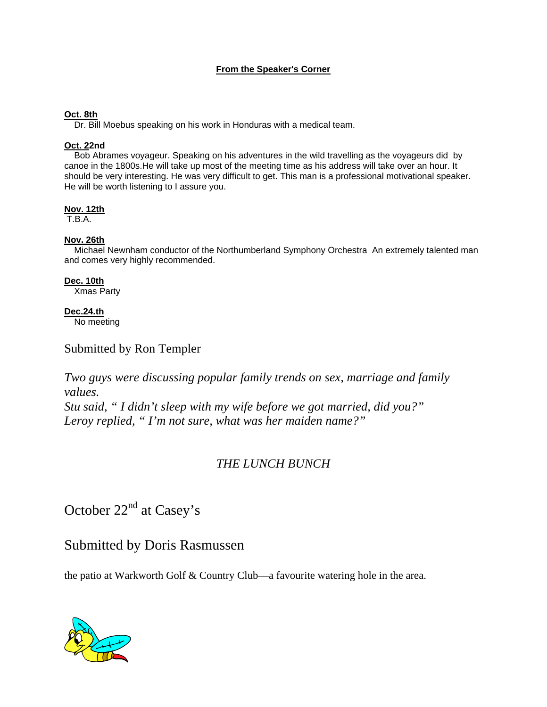#### **From the Speaker's Corner**

#### **Oct. 8th**

Dr. Bill Moebus speaking on his work in Honduras with a medical team.

#### **Oct. 22nd**

 Bob Abrames voyageur. Speaking on his adventures in the wild travelling as the voyageurs did by canoe in the 1800s.He will take up most of the meeting time as his address will take over an hour. It should be very interesting. He was very difficult to get. This man is a professional motivational speaker. He will be worth listening to I assure you.

#### **Nov. 12th**

T.B.A.

#### **Nov. 26th**

 Michael Newnham conductor of the Northumberland Symphony Orchestra An extremely talented man and comes very highly recommended.

#### **Dec. 10th**

Xmas Party

#### **Dec.24.th**

No meeting

## Submitted by Ron Templer

*Two guys were discussing popular family trends on sex, marriage and family values.* 

*Stu said, " I didn't sleep with my wife before we got married, did you?" Leroy replied, " I'm not sure, what was her maiden name?"* 

# *THE LUNCH BUNCH*

# October 22<sup>nd</sup> at Casey's

# Submitted by Doris Rasmussen

the patio at Warkworth Golf & Country Club—a favourite watering hole in the area.

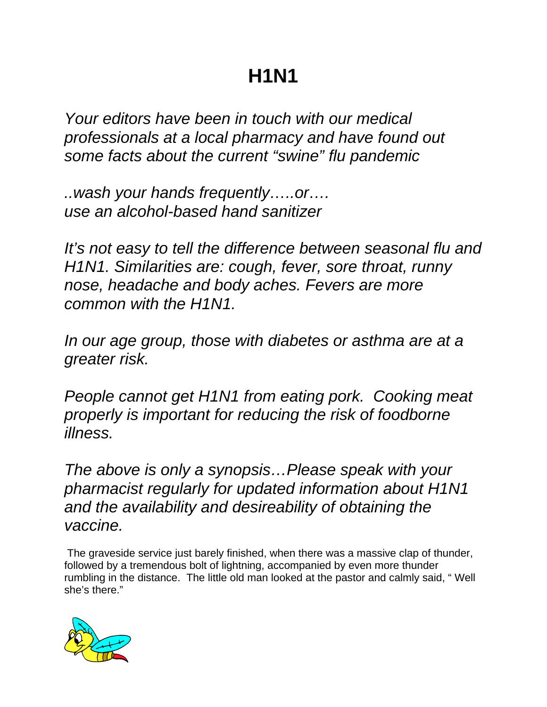# **H1N1**

*Your editors have been in touch with our medical professionals at a local pharmacy and have found out some facts about the current "swine" flu pandemic* 

*..wash your hands frequently…..or…. use an alcohol-based hand sanitizer* 

*It's not easy to tell the difference between seasonal flu and H1N1. Similarities are: cough, fever, sore throat, runny nose, headache and body aches. Fevers are more common with the H1N1.* 

*In our age group, those with diabetes or asthma are at a greater risk.* 

*People cannot get H1N1 from eating pork. Cooking meat properly is important for reducing the risk of foodborne illness.* 

*The above is only a synopsis…Please speak with your pharmacist regularly for updated information about H1N1 and the availability and desireability of obtaining the vaccine.* 

 The graveside service just barely finished, when there was a massive clap of thunder, followed by a tremendous bolt of lightning, accompanied by even more thunder rumbling in the distance. The little old man looked at the pastor and calmly said, " Well she's there."

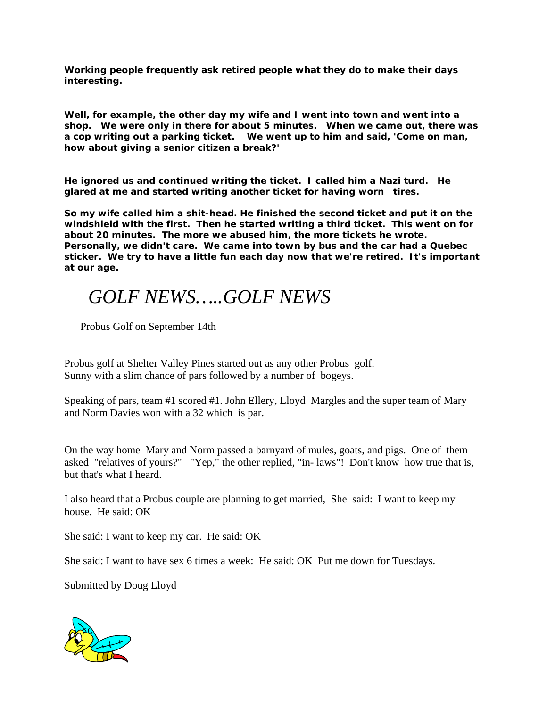**Working people frequently ask retired people what they do to make their days interesting.** 

**Well, for example, the other day my wife and I went into town and went into a shop. We were only in there for about 5 minutes. When we came out, there was a cop writing out a parking ticket. We went up to him and said, 'Come on man, how about giving a senior citizen a break?'**

**He ignored us and continued writing the ticket. I called him a Nazi turd. He glared at me and started writing another ticket for having worn tires.** 

**So my wife called him a shit-head. He finished the second ticket and put it on the windshield with the first. Then he started writing a third ticket. This went on for about 20 minutes. The more we abused him, the more tickets he wrote. Personally, we didn't care. We came into town by bus and the car had a Quebec sticker. We try to have a little fun each day now that we're retired. It's important at our age.** 

# *GOLF NEWS…..GOLF NEWS*

Probus Golf on September 14th

Probus golf at Shelter Valley Pines started out as any other Probus golf. Sunny with a slim chance of pars followed by a number of bogeys.

Speaking of pars, team #1 scored #1. John Ellery, Lloyd Margles and the super team of Mary and Norm Davies won with a 32 which is par.

On the way home Mary and Norm passed a barnyard of mules, goats, and pigs. One of them asked "relatives of yours?" "Yep," the other replied, "in- laws"! Don't know how true that is, but that's what I heard.

I also heard that a Probus couple are planning to get married, She said: I want to keep my house. He said: OK

She said: I want to keep my car. He said: OK

She said: I want to have sex 6 times a week: He said: OK Put me down for Tuesdays.

Submitted by Doug Lloyd